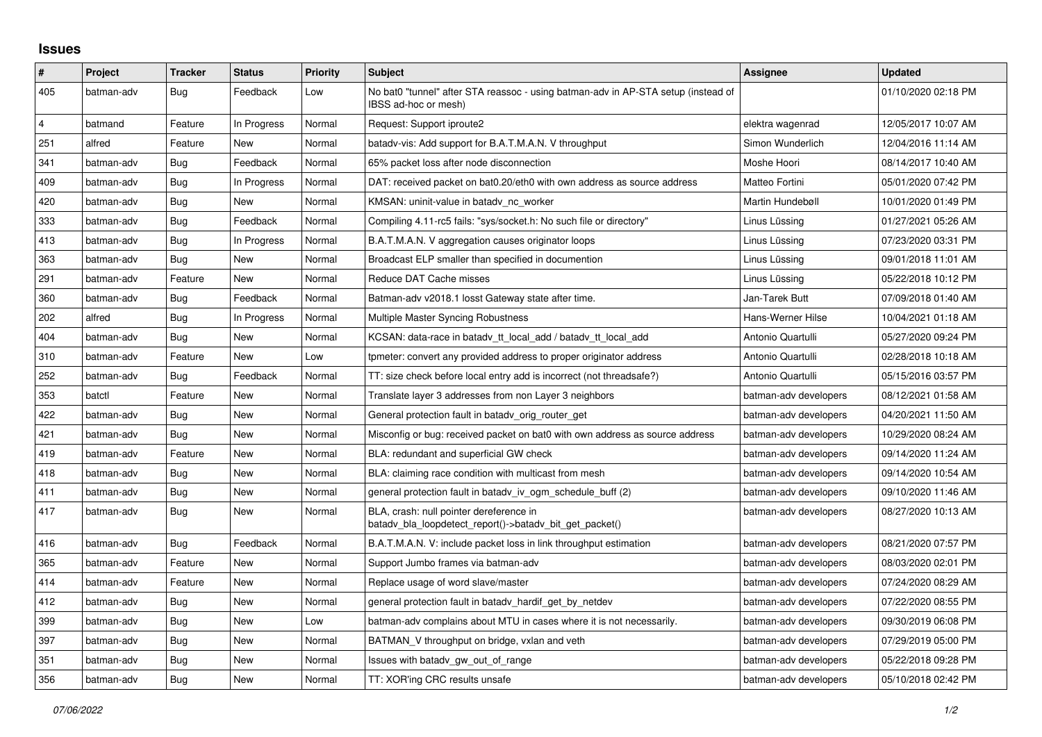## **Issues**

| $\vert$ #      | Project    | <b>Tracker</b> | <b>Status</b> | <b>Priority</b> | <b>Subject</b>                                                                                            | Assignee              | <b>Updated</b>      |
|----------------|------------|----------------|---------------|-----------------|-----------------------------------------------------------------------------------------------------------|-----------------------|---------------------|
| 405            | batman-adv | <b>Bug</b>     | Feedback      | Low             | No bat0 "tunnel" after STA reassoc - using batman-adv in AP-STA setup (instead of<br>IBSS ad-hoc or mesh) |                       | 01/10/2020 02:18 PM |
| $\overline{4}$ | batmand    | Feature        | In Progress   | Normal          | Request: Support iproute2                                                                                 | elektra wagenrad      | 12/05/2017 10:07 AM |
| 251            | alfred     | Feature        | New           | Normal          | batady-vis: Add support for B.A.T.M.A.N. V throughput                                                     | Simon Wunderlich      | 12/04/2016 11:14 AM |
| 341            | batman-adv | Bug            | Feedback      | Normal          | 65% packet loss after node disconnection                                                                  | Moshe Hoori           | 08/14/2017 10:40 AM |
| 409            | batman-adv | <b>Bug</b>     | In Progress   | Normal          | DAT: received packet on bat0.20/eth0 with own address as source address                                   | Matteo Fortini        | 05/01/2020 07:42 PM |
| 420            | batman-adv | Bug            | New           | Normal          | KMSAN: uninit-value in batady nc worker                                                                   | Martin Hundebøll      | 10/01/2020 01:49 PM |
| 333            | batman-adv | <b>Bug</b>     | Feedback      | Normal          | Compiling 4.11-rc5 fails: "sys/socket.h: No such file or directory"                                       | Linus Lüssing         | 01/27/2021 05:26 AM |
| 413            | batman-adv | Bug            | In Progress   | Normal          | B.A.T.M.A.N. V aggregation causes originator loops                                                        | Linus Lüssing         | 07/23/2020 03:31 PM |
| 363            | batman-adv | Bug            | New           | Normal          | Broadcast ELP smaller than specified in documention                                                       | Linus Lüssing         | 09/01/2018 11:01 AM |
| 291            | batman-adv | Feature        | New           | Normal          | Reduce DAT Cache misses                                                                                   | Linus Lüssing         | 05/22/2018 10:12 PM |
| 360            | batman-adv | Bug            | Feedback      | Normal          | Batman-adv v2018.1 losst Gateway state after time.                                                        | Jan-Tarek Butt        | 07/09/2018 01:40 AM |
| 202            | alfred     | Bug            | In Progress   | Normal          | Multiple Master Syncing Robustness                                                                        | Hans-Werner Hilse     | 10/04/2021 01:18 AM |
| 404            | batman-adv | Bug            | New           | Normal          | KCSAN: data-race in batady tt local add / batady tt local add                                             | Antonio Quartulli     | 05/27/2020 09:24 PM |
| 310            | batman-adv | Feature        | New           | Low             | tpmeter: convert any provided address to proper originator address                                        | Antonio Quartulli     | 02/28/2018 10:18 AM |
| 252            | batman-adv | Bug            | Feedback      | Normal          | TT: size check before local entry add is incorrect (not threadsafe?)                                      | Antonio Quartulli     | 05/15/2016 03:57 PM |
| 353            | batctl     | Feature        | New           | Normal          | Translate layer 3 addresses from non Layer 3 neighbors                                                    | batman-adv developers | 08/12/2021 01:58 AM |
| 422            | batman-adv | Bug            | New           | Normal          | General protection fault in batady orig router get                                                        | batman-adv developers | 04/20/2021 11:50 AM |
| 421            | batman-adv | Bug            | New           | Normal          | Misconfig or bug: received packet on bat0 with own address as source address                              | batman-adv developers | 10/29/2020 08:24 AM |
| 419            | batman-adv | Feature        | New           | Normal          | BLA: redundant and superficial GW check                                                                   | batman-adv developers | 09/14/2020 11:24 AM |
| 418            | batman-adv | Bug            | New           | Normal          | BLA: claiming race condition with multicast from mesh                                                     | batman-adv developers | 09/14/2020 10:54 AM |
| 411            | batman-adv | <b>Bug</b>     | <b>New</b>    | Normal          | general protection fault in batady iv ogm schedule buff (2)                                               | batman-adv developers | 09/10/2020 11:46 AM |
| 417            | batman-adv | Bug            | New           | Normal          | BLA, crash: null pointer dereference in<br>batady bla loopdetect report()->batady bit get packet()        | batman-adv developers | 08/27/2020 10:13 AM |
| 416            | batman-adv | Bug            | Feedback      | Normal          | B.A.T.M.A.N. V: include packet loss in link throughput estimation                                         | batman-adv developers | 08/21/2020 07:57 PM |
| 365            | batman-adv | Feature        | New           | Normal          | Support Jumbo frames via batman-adv                                                                       | batman-adv developers | 08/03/2020 02:01 PM |
| 414            | batman-adv | Feature        | New           | Normal          | Replace usage of word slave/master                                                                        | batman-adv developers | 07/24/2020 08:29 AM |
| 412            | batman-adv | Bug            | New           | Normal          | general protection fault in batady hardif get by netdev                                                   | batman-adv developers | 07/22/2020 08:55 PM |
| 399            | batman-adv | <b>Bug</b>     | New           | Low             | batman-adv complains about MTU in cases where it is not necessarily.                                      | batman-adv developers | 09/30/2019 06:08 PM |
| 397            | batman-adv | Bug            | New           | Normal          | BATMAN V throughput on bridge, vxlan and veth                                                             | batman-adv developers | 07/29/2019 05:00 PM |
| 351            | batman-adv | Bug            | New           | Normal          | Issues with batadv_gw_out_of_range                                                                        | batman-adv developers | 05/22/2018 09:28 PM |
| 356            | batman-adv | Bug            | New           | Normal          | TT: XOR'ing CRC results unsafe                                                                            | batman-adv developers | 05/10/2018 02:42 PM |